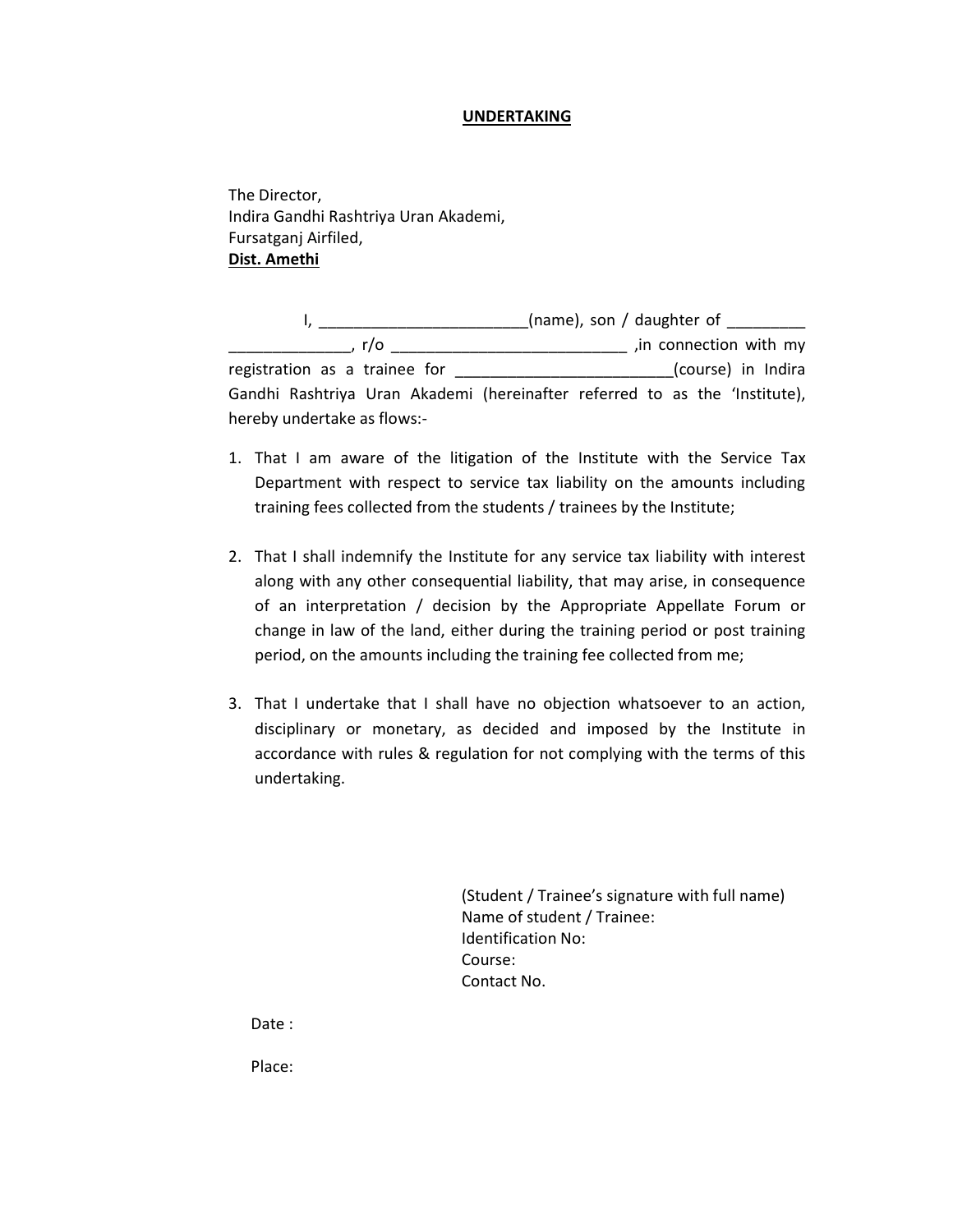## **UNDERTAKING**

The Director, Indira Gandhi Rashtriya Uran Akademi, Fursatganj Airfiled, **Dist. Amethi**

I, \_\_\_\_\_\_\_\_\_\_\_\_\_\_\_\_\_\_\_\_\_\_\_\_\_(name), son / daughter of \_\_\_\_\_\_\_\_\_\_ \_\_\_\_\_\_\_\_\_\_\_\_\_\_, r/o \_\_\_\_\_\_\_\_\_\_\_\_\_\_\_\_\_\_\_\_\_\_\_\_\_\_\_ ,in connection with my registration as a trainee for \_\_\_\_\_\_\_\_\_\_\_\_\_\_\_\_\_\_\_\_\_\_\_\_\_(course) in Indira Gandhi Rashtriya Uran Akademi (hereinafter referred to as the 'Institute), hereby undertake as flows:-

- 1. That I am aware of the litigation of the Institute with the Service Tax Department with respect to service tax liability on the amounts including training fees collected from the students / trainees by the Institute;
- 2. That I shall indemnify the Institute for any service tax liability with interest along with any other consequential liability, that may arise, in consequence of an interpretation / decision by the Appropriate Appellate Forum or change in law of the land, either during the training period or post training period, on the amounts including the training fee collected from me;
- 3. That I undertake that I shall have no objection whatsoever to an action, disciplinary or monetary, as decided and imposed by the Institute in accordance with rules & regulation for not complying with the terms of this undertaking.

(Student / Trainee's signature with full name) Name of student / Trainee: Identification No: Course: Contact No.

Date :

Place: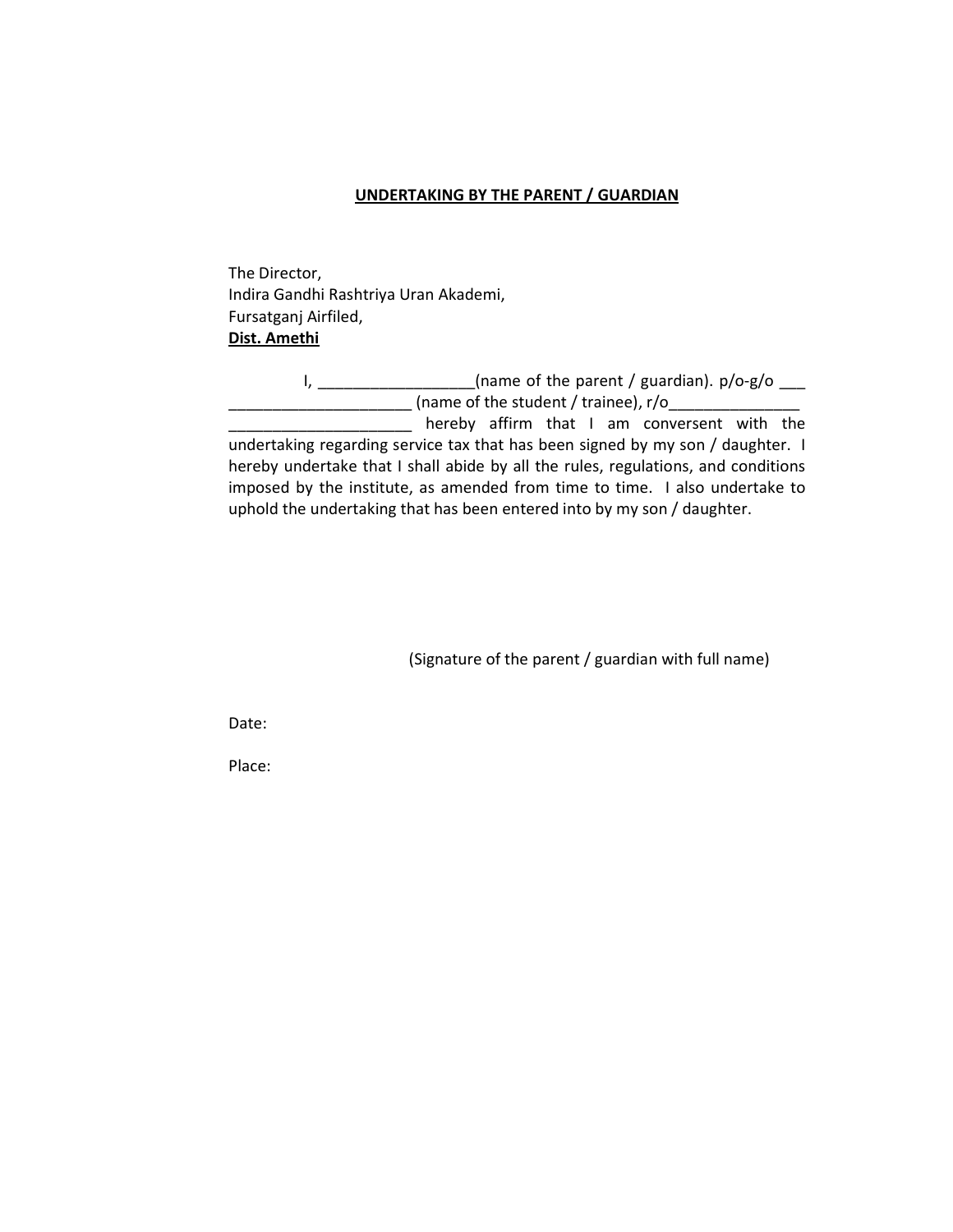## **UNDERTAKING BY THE PARENT / GUARDIAN**

The Director, Indira Gandhi Rashtriya Uran Akademi, Fursatganj Airfiled, **Dist. Amethi**

I, \_\_\_\_\_\_\_\_\_\_\_\_\_\_\_\_\_(name of the parent / guardian). p/o-g/o \_\_\_ \_\_\_\_\_\_\_\_\_\_\_\_\_\_\_\_\_\_\_\_\_ (name of the student / trainee), r/o\_\_\_\_\_\_\_\_\_\_\_\_\_\_\_ **wake** thereby affirm that I am conversent with the

undertaking regarding service tax that has been signed by my son / daughter. I hereby undertake that I shall abide by all the rules, regulations, and conditions imposed by the institute, as amended from time to time. I also undertake to uphold the undertaking that has been entered into by my son / daughter.

(Signature of the parent / guardian with full name)

Date:

Place: